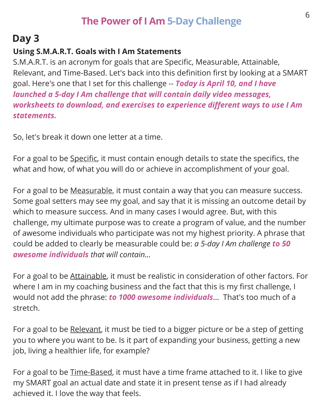## **The Power of I Am 5-Day Challenge**

# **Day 3**

### **Using S.M.A.R.T. Goals with I Am Statements**

S.M.A.R.T. is an acronym for goals that are Specific, Measurable, Attainable, Relevant, and Time-Based. Let's back into this definition first by looking at a SMART goal. Here's one that I set for this challenge -- *Today is April 10, and I have launched a 5-day I Am challenge that will contain daily video messages, worksheets to download, and exercises to experience different ways to use I Am statements.*

So, let's break it down one letter at a time.

For a goal to be Specific, it must contain enough details to state the specifics, the what and how, of what you will do or achieve in accomplishment of your goal.

For a goal to be Measurable, it must contain a way that you can measure success. Some goal setters may see my goal, and say that it is missing an outcome detail by which to measure success. And in many cases I would agree. But, with this challenge, my ultimate purpose was to create a program of value, and the number of awesome individuals who participate was not my highest priority. A phrase that could be added to clearly be measurable could be: *a 5-day I Am challenge to 50 awesome individuals that will contain...*

For a goal to be Attainable, it must be realistic in consideration of other factors. For where I am in my coaching business and the fact that this is my first challenge, I would not add the phrase: *to 1000 awesome individuals*... That's too much of a stretch.

For a goal to be Relevant, it must be tied to a bigger picture or be a step of getting you to where you want to be. Is it part of expanding your business, getting a new job, living a healthier life, for example?

For a goal to be Time-Based, it must have a time frame attached to it. I like to give my SMART goal an actual date and state it in present tense as if I had already achieved it. I love the way that feels.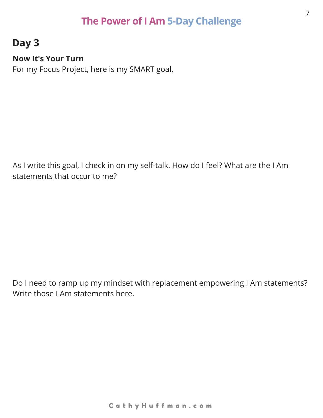## **The Power of I Am 5-Day Challenge**

## **Day 3**

#### **Now It's Your Turn**

For my Focus Project, here is my SMART goal.

As I write this goal, I check in on my self-talk. How do I feel? What are the I Am statements that occur to me?

Do I need to ramp up my mindset with replacement empowering I Am statements? Write those I Am statements here.